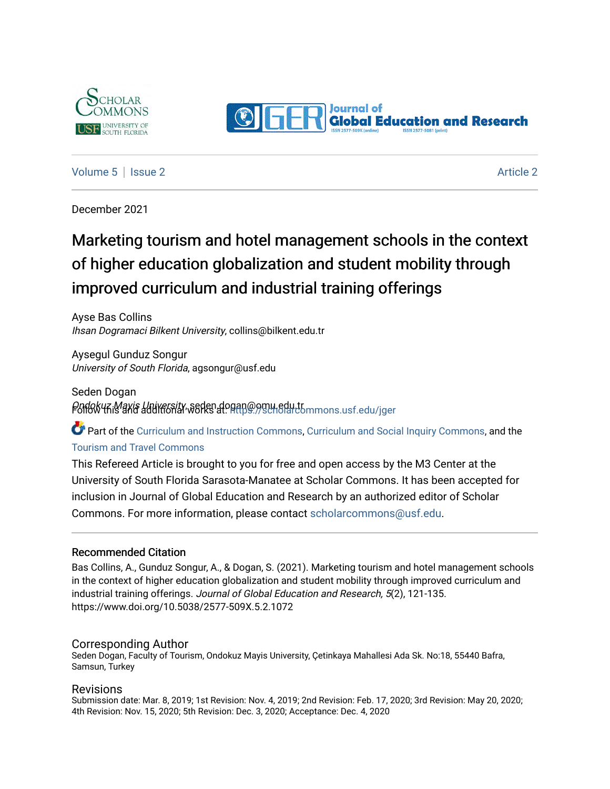



#### [Volume 5](https://scholarcommons.usf.edu/jger/vol5) | [Issue 2](https://scholarcommons.usf.edu/jger/vol5/iss2) [Article 2](https://scholarcommons.usf.edu/jger/vol5/iss2/2) Article 2 Article 2 Article 2 Article 2 Article 2 Article 2 Article 2 Article 2 Article 2 Article 2 Article 2 Article 2 Article 2 Article 2 Article 2 Article 2 Article 2 Article 2 Article 2 Art

December 2021

## Marketing tourism and hotel management schools in the context of higher education globalization and student mobility through improved curriculum and industrial training offerings

Ayse Bas Collins Ihsan Dogramaci Bilkent University, collins@bilkent.edu.tr

Aysegul Gunduz Songur University of South Florida, agsongur@usf.edu

Seden Dogan Ondokuz Mayis University, seden.d[ogan@omu.edu.tr](https://scholarcommons.usf.edu/jger?utm_source=scholarcommons.usf.edu%2Fjger%2Fvol5%2Fiss2%2F2&utm_medium=PDF&utm_campaign=PDFCoverPages) Follow this and additional works at: [https://scholarcommons.usf.edu/jger](https://scholarcommons.usf.edu/jger?utm_source=scholarcommons.usf.edu%2Fjger%2Fvol5%2Fiss2%2F2&utm_medium=PDF&utm_campaign=PDFCoverPages) 

**C** Part of the [Curriculum and Instruction Commons,](http://network.bepress.com/hgg/discipline/786?utm_source=scholarcommons.usf.edu%2Fjger%2Fvol5%2Fiss2%2F2&utm_medium=PDF&utm_campaign=PDFCoverPages) [Curriculum and Social Inquiry Commons,](http://network.bepress.com/hgg/discipline/1038?utm_source=scholarcommons.usf.edu%2Fjger%2Fvol5%2Fiss2%2F2&utm_medium=PDF&utm_campaign=PDFCoverPages) and the [Tourism and Travel Commons](http://network.bepress.com/hgg/discipline/1082?utm_source=scholarcommons.usf.edu%2Fjger%2Fvol5%2Fiss2%2F2&utm_medium=PDF&utm_campaign=PDFCoverPages)

This Refereed Article is brought to you for free and open access by the M3 Center at the University of South Florida Sarasota-Manatee at Scholar Commons. It has been accepted for inclusion in Journal of Global Education and Research by an authorized editor of Scholar Commons. For more information, please contact [scholarcommons@usf.edu](mailto:scholarcommons@usf.edu).

#### Recommended Citation

Bas Collins, A., Gunduz Songur, A., & Dogan, S. (2021). Marketing tourism and hotel management schools in the context of higher education globalization and student mobility through improved curriculum and industrial training offerings. Journal of Global Education and Research, 5(2), 121-135. https://www.doi.org/10.5038/2577-509X.5.2.1072

#### Corresponding Author

Seden Dogan, Faculty of Tourism, Ondokuz Mayis University, Çetinkaya Mahallesi Ada Sk. No:18, 55440 Bafra, Samsun, Turkey

#### Revisions

Submission date: Mar. 8, 2019; 1st Revision: Nov. 4, 2019; 2nd Revision: Feb. 17, 2020; 3rd Revision: May 20, 2020; 4th Revision: Nov. 15, 2020; 5th Revision: Dec. 3, 2020; Acceptance: Dec. 4, 2020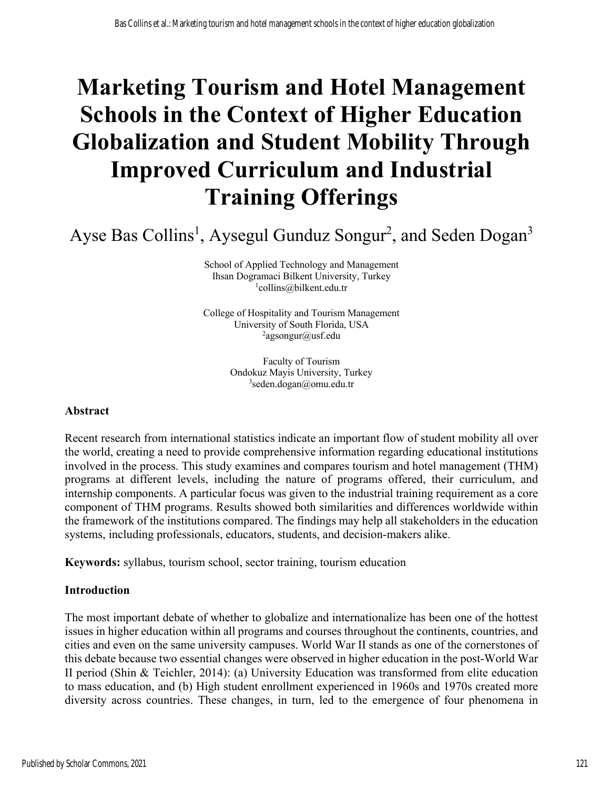# **Marketing Tourism and Hotel Management Schools in the Context of Higher Education Globalization and Student Mobility Through Improved Curriculum and Industrial Training Offerings**

Ayse Bas Collins<sup>1</sup>, Aysegul Gunduz Songur<sup>2</sup>, and Seden Dogan<sup>3</sup>

School of Applied Technology and Management Ihsan Dogramaci Bilkent University, Turkey 1 collins@bilkent.edu.tr

College of Hospitality and Tourism Management University of South Florida, USA <sup>2</sup>agsongur@usf.edu

> Faculty of Tourism Ondokuz Mayis University, Turkey 3 seden.dogan@omu.edu.tr

#### **Abstract**

Recent research from international statistics indicate an important flow of student mobility all over the world, creating a need to provide comprehensive information regarding educational institutions involved in the process. This study examines and compares tourism and hotel management (THM) programs at different levels, including the nature of programs offered, their curriculum, and internship components. A particular focus was given to the industrial training requirement as a core component of THM programs. Results showed both similarities and differences worldwide within the framework of the institutions compared. The findings may help all stakeholders in the education systems, including professionals, educators, students, and decision-makers alike.

**Keywords:** syllabus, tourism school, sector training, tourism education

#### **Introduction**

The most important debate of whether to globalize and internationalize has been one of the hottest issues in higher education within all programs and courses throughout the continents, countries, and cities and even on the same university campuses. World War II stands as one of the cornerstones of this debate because two essential changes were observed in higher education in the post-World War II period (Shin & Teichler, 2014): (a) University Education was transformed from elite education to mass education, and (b) High student enrollment experienced in 1960s and 1970s created more diversity across countries. These changes, in turn, led to the emergence of four phenomena in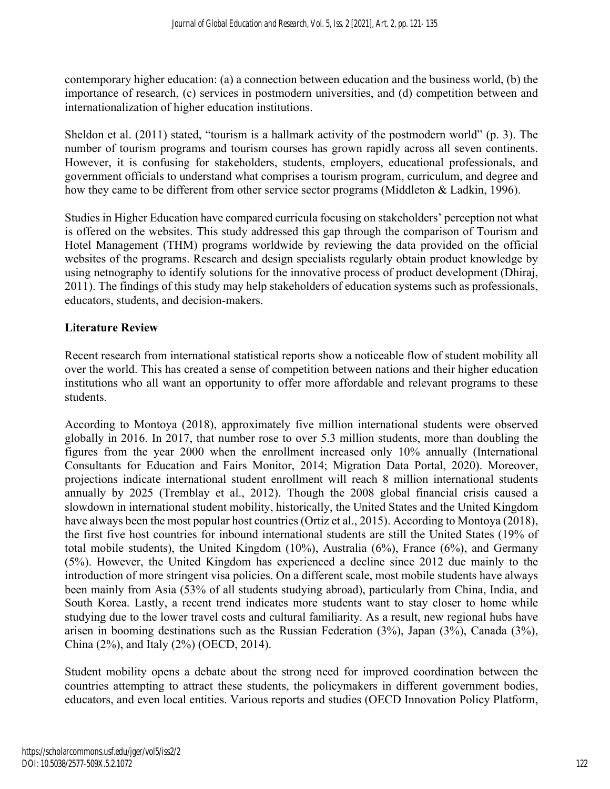contemporary higher education: (a) a connection between education and the business world, (b) the importance of research, (c) services in postmodern universities, and (d) competition between and internationalization of higher education institutions.

Sheldon et al. (2011) stated, "tourism is a hallmark activity of the postmodern world" (p. 3). The number of tourism programs and tourism courses has grown rapidly across all seven continents. However, it is confusing for stakeholders, students, employers, educational professionals, and government officials to understand what comprises a tourism program, curriculum, and degree and how they came to be different from other service sector programs (Middleton & Ladkin, 1996).

Studies in Higher Education have compared curricula focusing on stakeholders' perception not what is offered on the websites. This study addressed this gap through the comparison of Tourism and Hotel Management (THM) programs worldwide by reviewing the data provided on the official websites of the programs. Research and design specialists regularly obtain product knowledge by using netnography to identify solutions for the innovative process of product development (Dhiraj, 2011). The findings of this study may help stakeholders of education systems such as professionals, educators, students, and decision-makers.

## **Literature Review**

Recent research from international statistical reports show a noticeable flow of student mobility all over the world. This has created a sense of competition between nations and their higher education institutions who all want an opportunity to offer more affordable and relevant programs to these students.

According to Montoya (2018), approximately five million international students were observed globally in 2016. In 2017, that number rose to over 5.3 million students, more than doubling the figures from the year 2000 when the enrollment increased only 10% annually (International Consultants for Education and Fairs Monitor, 2014; Migration Data Portal, 2020). Moreover, projections indicate international student enrollment will reach 8 million international students annually by 2025 (Tremblay et al., 2012). Though the 2008 global financial crisis caused a slowdown in international student mobility, historically, the United States and the United Kingdom have always been the most popular host countries (Ortiz et al., 2015). According to Montoya (2018), the first five host countries for inbound international students are still the United States (19% of total mobile students), the United Kingdom (10%), Australia (6%), France (6%), and Germany (5%). However, the United Kingdom has experienced a decline since 2012 due mainly to the introduction of more stringent visa policies. On a different scale, most mobile students have always been mainly from Asia (53% of all students studying abroad), particularly from China, India, and South Korea. Lastly, a recent trend indicates more students want to stay closer to home while studying due to the lower travel costs and cultural familiarity. As a result, new regional hubs have arisen in booming destinations such as the Russian Federation (3%), Japan (3%), Canada (3%), China (2%), and Italy (2%) (OECD, 2014).

Student mobility opens a debate about the strong need for improved coordination between the countries attempting to attract these students, the policymakers in different government bodies, educators, and even local entities. Various reports and studies (OECD Innovation Policy Platform,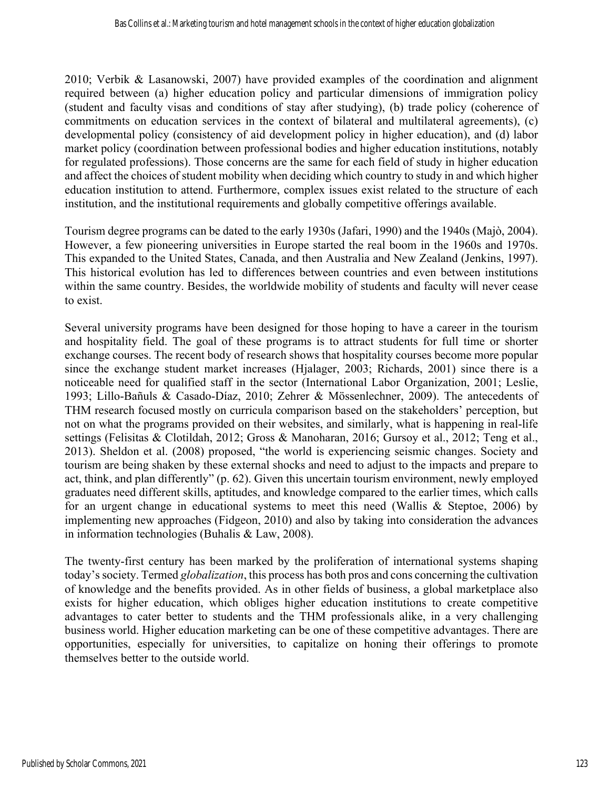2010; Verbik & Lasanowski, 2007) have provided examples of the coordination and alignment required between (a) higher education policy and particular dimensions of immigration policy (student and faculty visas and conditions of stay after studying), (b) trade policy (coherence of commitments on education services in the context of bilateral and multilateral agreements), (c) developmental policy (consistency of aid development policy in higher education), and (d) labor market policy (coordination between professional bodies and higher education institutions, notably for regulated professions). Those concerns are the same for each field of study in higher education and affect the choices of student mobility when deciding which country to study in and which higher education institution to attend. Furthermore, complex issues exist related to the structure of each institution, and the institutional requirements and globally competitive offerings available.

Tourism degree programs can be dated to the early 1930s (Jafari, 1990) and the 1940s (Majò, 2004). However, a few pioneering universities in Europe started the real boom in the 1960s and 1970s. This expanded to the United States, Canada, and then Australia and New Zealand (Jenkins, 1997). This historical evolution has led to differences between countries and even between institutions within the same country. Besides, the worldwide mobility of students and faculty will never cease to exist.

Several university programs have been designed for those hoping to have a career in the tourism and hospitality field. The goal of these programs is to attract students for full time or shorter exchange courses. The recent body of research shows that hospitality courses become more popular since the exchange student market increases (Hjalager, 2003; Richards, 2001) since there is a noticeable need for qualified staff in the sector (International Labor Organization, 2001; Leslie, 1993; Lillo-Bañuls & Casado-Díaz, 2010; Zehrer & Mössenlechner, 2009). The antecedents of THM research focused mostly on curricula comparison based on the stakeholders' perception, but not on what the programs provided on their websites, and similarly, what is happening in real-life settings (Felisitas & Clotildah, 2012; Gross & Manoharan, 2016; Gursoy et al., 2012; Teng et al., 2013). Sheldon et al. (2008) proposed, "the world is experiencing seismic changes. Society and tourism are being shaken by these external shocks and need to adjust to the impacts and prepare to act, think, and plan differently" (p. 62). Given this uncertain tourism environment, newly employed graduates need different skills, aptitudes, and knowledge compared to the earlier times, which calls for an urgent change in educational systems to meet this need (Wallis & Steptoe, 2006) by implementing new approaches (Fidgeon, 2010) and also by taking into consideration the advances in information technologies (Buhalis & Law, 2008).

The twenty-first century has been marked by the proliferation of international systems shaping today's society. Termed *globalization*, this process has both pros and cons concerning the cultivation of knowledge and the benefits provided. As in other fields of business, a global marketplace also exists for higher education, which obliges higher education institutions to create competitive advantages to cater better to students and the THM professionals alike, in a very challenging business world. Higher education marketing can be one of these competitive advantages. There are opportunities, especially for universities, to capitalize on honing their offerings to promote themselves better to the outside world.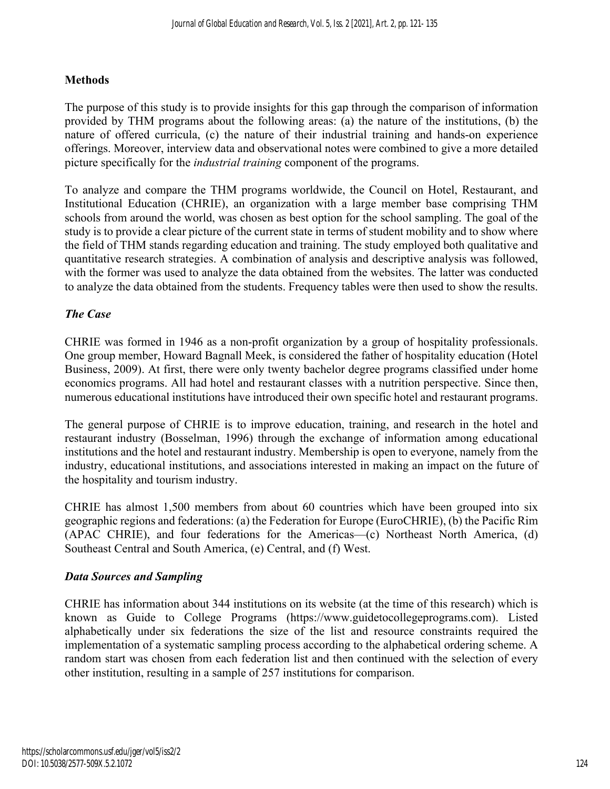## **Methods**

The purpose of this study is to provide insights for this gap through the comparison of information provided by THM programs about the following areas: (a) the nature of the institutions, (b) the nature of offered curricula, (c) the nature of their industrial training and hands-on experience offerings. Moreover, interview data and observational notes were combined to give a more detailed picture specifically for the *industrial training* component of the programs.

To analyze and compare the THM programs worldwide, the Council on Hotel, Restaurant, and Institutional Education (CHRIE), an organization with a large member base comprising THM schools from around the world, was chosen as best option for the school sampling. The goal of the study is to provide a clear picture of the current state in terms of student mobility and to show where the field of THM stands regarding education and training. The study employed both qualitative and quantitative research strategies. A combination of analysis and descriptive analysis was followed, with the former was used to analyze the data obtained from the websites. The latter was conducted to analyze the data obtained from the students. Frequency tables were then used to show the results.

## *The Case*

CHRIE was formed in 1946 as a non-profit organization by a group of hospitality professionals. One group member, Howard Bagnall Meek, is considered the father of hospitality education (Hotel Business, 2009). At first, there were only twenty bachelor degree programs classified under home economics programs. All had hotel and restaurant classes with a nutrition perspective. Since then, numerous educational institutions have introduced their own specific hotel and restaurant programs.

The general purpose of CHRIE is to improve education, training, and research in the hotel and restaurant industry (Bosselman, 1996) through the exchange of information among educational institutions and the hotel and restaurant industry. Membership is open to everyone, namely from the industry, educational institutions, and associations interested in making an impact on the future of the hospitality and tourism industry.

CHRIE has almost 1,500 members from about 60 countries which have been grouped into six geographic regions and federations: (a) the Federation for Europe (EuroCHRIE), (b) the Pacific Rim (APAC CHRIE), and four federations for the Americas—(c) Northeast North America, (d) Southeast Central and South America, (e) Central, and (f) West.

## *Data Sources and Sampling*

CHRIE has information about 344 institutions on its website (at the time of this research) which is known as Guide to College Programs (https://www.guidetocollegeprograms.com). Listed alphabetically under six federations the size of the list and resource constraints required the implementation of a systematic sampling process according to the alphabetical ordering scheme. A random start was chosen from each federation list and then continued with the selection of every other institution, resulting in a sample of 257 institutions for comparison.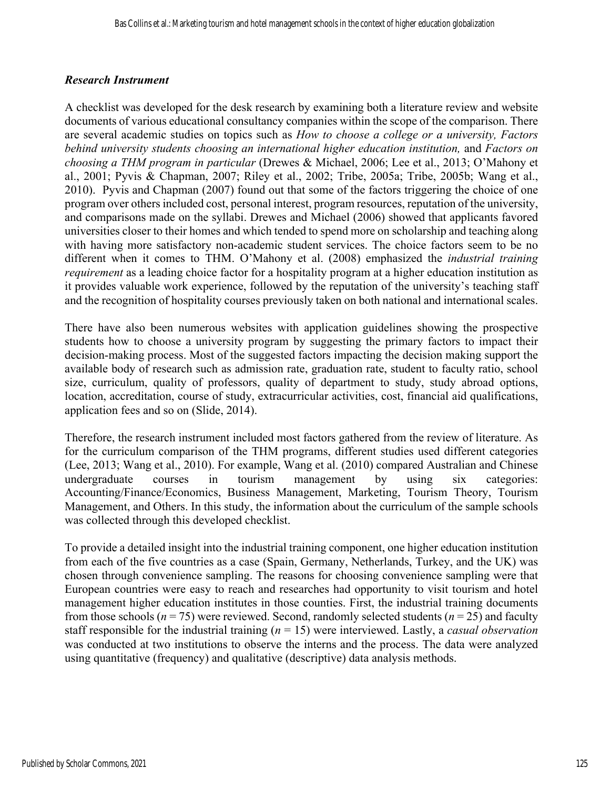### *Research Instrument*

A checklist was developed for the desk research by examining both a literature review and website documents of various educational consultancy companies within the scope of the comparison. There are several academic studies on topics such as *How to choose a college or a university, Factors behind university students choosing an international higher education institution,* and *Factors on choosing a THM program in particular* (Drewes & Michael, 2006; Lee et al., 2013; O'Mahony et al., 2001; Pyvis & Chapman, 2007; Riley et al., 2002; Tribe, 2005a; Tribe, 2005b; Wang et al., 2010). Pyvis and Chapman (2007) found out that some of the factors triggering the choice of one program over others included cost, personal interest, program resources, reputation of the university, and comparisons made on the syllabi. Drewes and Michael (2006) showed that applicants favored universities closer to their homes and which tended to spend more on scholarship and teaching along with having more satisfactory non-academic student services. The choice factors seem to be no different when it comes to THM. O'Mahony et al. (2008) emphasized the *industrial training requirement* as a leading choice factor for a hospitality program at a higher education institution as it provides valuable work experience, followed by the reputation of the university's teaching staff and the recognition of hospitality courses previously taken on both national and international scales.

There have also been numerous websites with application guidelines showing the prospective students how to choose a university program by suggesting the primary factors to impact their decision-making process. Most of the suggested factors impacting the decision making support the available body of research such as admission rate, graduation rate, student to faculty ratio, school size, curriculum, quality of professors, quality of department to study, study abroad options, location, accreditation, course of study, extracurricular activities, cost, financial aid qualifications, application fees and so on (Slide, 2014).

Therefore, the research instrument included most factors gathered from the review of literature. As for the curriculum comparison of the THM programs, different studies used different categories (Lee, 2013; Wang et al., 2010). For example, Wang et al. (2010) compared Australian and Chinese undergraduate courses in tourism management by using six categories: Accounting/Finance/Economics, Business Management, Marketing, Tourism Theory, Tourism Management, and Others. In this study, the information about the curriculum of the sample schools was collected through this developed checklist.

To provide a detailed insight into the industrial training component, one higher education institution from each of the five countries as a case (Spain, Germany, Netherlands, Turkey, and the UK) was chosen through convenience sampling. The reasons for choosing convenience sampling were that European countries were easy to reach and researches had opportunity to visit tourism and hotel management higher education institutes in those counties. First, the industrial training documents from those schools ( $n = 75$ ) were reviewed. Second, randomly selected students ( $n = 25$ ) and faculty staff responsible for the industrial training (*n* = 15) were interviewed. Lastly, a *casual observation* was conducted at two institutions to observe the interns and the process. The data were analyzed using quantitative (frequency) and qualitative (descriptive) data analysis methods.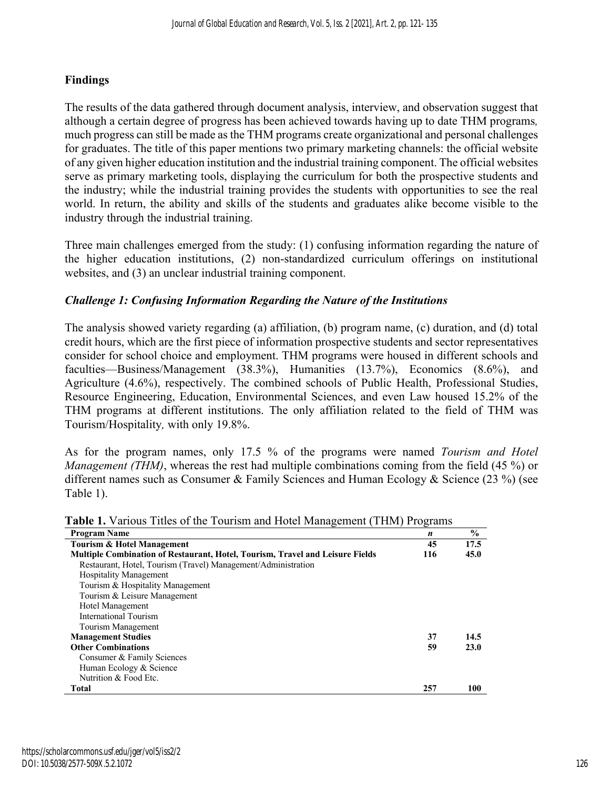## **Findings**

The results of the data gathered through document analysis, interview, and observation suggest that although a certain degree of progress has been achieved towards having up to date THM programs*,* much progress can still be made as the THM programs create organizational and personal challenges for graduates. The title of this paper mentions two primary marketing channels: the official website of any given higher education institution and the industrial training component. The official websites serve as primary marketing tools, displaying the curriculum for both the prospective students and the industry; while the industrial training provides the students with opportunities to see the real world. In return, the ability and skills of the students and graduates alike become visible to the industry through the industrial training.

Three main challenges emerged from the study: (1) confusing information regarding the nature of the higher education institutions, (2) non-standardized curriculum offerings on institutional websites, and (3) an unclear industrial training component.

### *Challenge 1: Confusing Information Regarding the Nature of the Institutions*

The analysis showed variety regarding (a) affiliation, (b) program name, (c) duration, and (d) total credit hours, which are the first piece of information prospective students and sector representatives consider for school choice and employment. THM programs were housed in different schools and faculties—Business/Management (38.3%), Humanities (13.7%), Economics (8.6%), and Agriculture (4.6%), respectively. The combined schools of Public Health, Professional Studies, Resource Engineering, Education, Environmental Sciences, and even Law housed 15.2% of the THM programs at different institutions. The only affiliation related to the field of THM was Tourism/Hospitality*,* with only 19.8%.

As for the program names, only 17.5 % of the programs were named *Tourism and Hotel Management (THM)*, whereas the rest had multiple combinations coming from the field (45 %) or different names such as Consumer & Family Sciences and Human Ecology & Science (23 %) (see Table 1).

| <b>Program Name</b>                                                                  | $\boldsymbol{n}$ | $\frac{6}{6}$ |
|--------------------------------------------------------------------------------------|------------------|---------------|
| <b>Tourism &amp; Hotel Management</b>                                                | 45               | 17.5          |
| <b>Multiple Combination of Restaurant, Hotel, Tourism, Travel and Leisure Fields</b> | 116              | 45.0          |
| Restaurant, Hotel, Tourism (Travel) Management/Administration                        |                  |               |
| <b>Hospitality Management</b>                                                        |                  |               |
| Tourism & Hospitality Management                                                     |                  |               |
| Tourism & Leisure Management                                                         |                  |               |
| Hotel Management                                                                     |                  |               |
| International Tourism                                                                |                  |               |
| Tourism Management                                                                   |                  |               |
| <b>Management Studies</b>                                                            | 37               | 14.5          |
| <b>Other Combinations</b>                                                            | 59               | 23.0          |
| Consumer & Family Sciences                                                           |                  |               |
| Human Ecology & Science                                                              |                  |               |
| Nutrition & Food Etc.                                                                |                  |               |
| Total                                                                                | 257              | 100           |

**Table 1.** Various Titles of the Tourism and Hotel Management (THM) Programs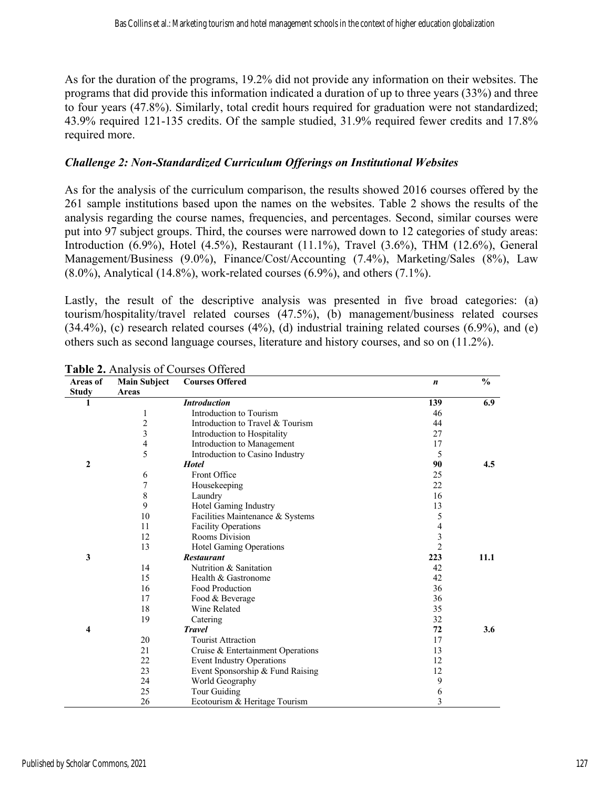As for the duration of the programs, 19.2% did not provide any information on their websites. The programs that did provide this information indicated a duration of up to three years (33%) and three to four years (47.8%). Similarly, total credit hours required for graduation were not standardized; 43.9% required 121-135 credits. Of the sample studied, 31.9% required fewer credits and 17.8% required more.

#### *Challenge 2: Non-Standardized Curriculum Offerings on Institutional Websites*

As for the analysis of the curriculum comparison, the results showed 2016 courses offered by the 261 sample institutions based upon the names on the websites. Table 2 shows the results of the analysis regarding the course names, frequencies, and percentages. Second, similar courses were put into 97 subject groups. Third, the courses were narrowed down to 12 categories of study areas: Introduction (6.9%), Hotel (4.5%), Restaurant (11.1%), Travel (3.6%), THM (12.6%), General Management/Business (9.0%), Finance/Cost/Accounting (7.4%), Marketing/Sales (8%), Law  $(8.0\%)$ , Analytical (14.8%), work-related courses (6.9%), and others (7.1%).

Lastly, the result of the descriptive analysis was presented in five broad categories: (a) tourism/hospitality/travel related courses (47.5%), (b) management/business related courses  $(34.4\%)$ , (c) research related courses  $(4\%)$ , (d) industrial training related courses  $(6.9\%)$ , and (e) others such as second language courses, literature and history courses, and so on (11.2%).

| Areas of     | <b>Main Subject</b>     | <b>Courses Offered</b>            | $\boldsymbol{n}$ | $\frac{0}{0}$ |
|--------------|-------------------------|-----------------------------------|------------------|---------------|
| <b>Study</b> | Areas                   |                                   |                  |               |
| 1            |                         | <b>Introduction</b>               | 139              | 6.9           |
|              | 1                       | Introduction to Tourism           | 46               |               |
|              | $\overline{c}$          | Introduction to Travel & Tourism  | 44               |               |
|              | $\overline{\mathbf{3}}$ | Introduction to Hospitality       | 27               |               |
|              | $\overline{\mathbf{4}}$ | Introduction to Management        | 17               |               |
|              | 5                       | Introduction to Casino Industry   | 5                |               |
| $\mathbf{2}$ |                         | <b>Hotel</b>                      | 90               | 4.5           |
|              | 6                       | Front Office                      | 25               |               |
|              | $\overline{7}$          | Housekeeping                      | 22               |               |
|              | $\,$ 8 $\,$             | Laundry                           | 16               |               |
|              | 9                       | Hotel Gaming Industry             | 13               |               |
|              | 10                      | Facilities Maintenance & Systems  | 5                |               |
|              | 11                      | <b>Facility Operations</b>        | 4                |               |
|              | 12                      | Rooms Division                    | 3                |               |
|              | 13                      | Hotel Gaming Operations           | $\overline{2}$   |               |
| 3            |                         | <b>Restaurant</b>                 | 223              | 11.1          |
|              | 14                      | Nutrition & Sanitation            | 42               |               |
|              | 15                      | Health & Gastronome               | 42               |               |
|              | 16                      | Food Production                   | 36               |               |
|              | 17                      | Food & Beverage                   | 36               |               |
|              | 18                      | Wine Related                      | 35               |               |
|              | 19                      | Catering                          | 32               |               |
| 4            |                         | <b>Travel</b>                     | 72               | 3.6           |
|              | 20                      | <b>Tourist Attraction</b>         | 17               |               |
|              | 21                      | Cruise & Entertainment Operations | 13               |               |
|              | 22                      | <b>Event Industry Operations</b>  | 12               |               |
|              | 23                      | Event Sponsorship & Fund Raising  | 12               |               |
|              | 24                      | World Geography                   | 9                |               |
|              | 25                      | Tour Guiding                      | 6                |               |
|              | 26                      | Ecotourism & Heritage Tourism     | 3                |               |

**Table 2.** Analysis of Courses Offered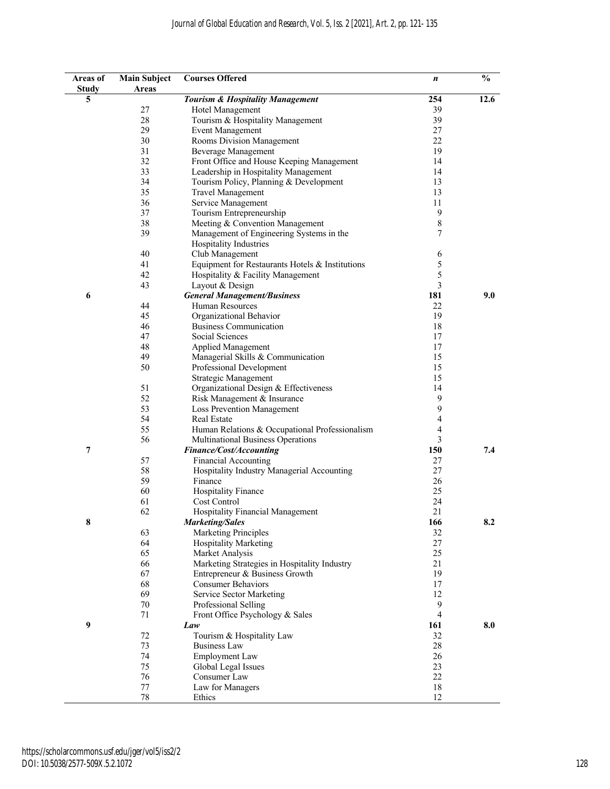| Areas of<br><b>Study</b> | <b>Main Subject</b><br>Areas | <b>Courses Offered</b>                          | n              | $\frac{0}{0}$ |
|--------------------------|------------------------------|-------------------------------------------------|----------------|---------------|
| 5                        |                              | <b>Tourism &amp; Hospitality Management</b>     | 254            | 12.6          |
|                          | 27                           | Hotel Management                                | 39             |               |
|                          | 28                           | Tourism & Hospitality Management                | 39             |               |
|                          | 29                           | <b>Event Management</b>                         | 27             |               |
|                          | 30                           | Rooms Division Management                       | 22             |               |
|                          | 31                           | Beverage Management                             | 19             |               |
|                          | 32                           | Front Office and House Keeping Management       | 14             |               |
|                          | 33                           | Leadership in Hospitality Management            | 14             |               |
|                          | 34                           | Tourism Policy, Planning & Development          | 13             |               |
|                          | 35                           | <b>Travel Management</b>                        | 13             |               |
|                          | 36                           | Service Management                              | 11             |               |
|                          | 37                           | Tourism Entrepreneurship                        | 9              |               |
|                          | 38                           | Meeting & Convention Management                 | $\,$ $\,$      |               |
|                          | 39                           | Management of Engineering Systems in the        | 7              |               |
|                          |                              | Hospitality Industries                          |                |               |
|                          | 40                           | Club Management                                 | 6              |               |
|                          | 41                           | Equipment for Restaurants Hotels & Institutions | 5              |               |
|                          | 42                           | Hospitality & Facility Management               | 5              |               |
|                          | 43                           |                                                 | 3              |               |
|                          |                              | Layout & Design                                 |                | 9.0           |
| 6                        |                              | <b>General Management/Business</b>              | 181            |               |
|                          | 44                           | <b>Human Resources</b>                          | 22             |               |
|                          | 45                           | Organizational Behavior                         | 19             |               |
|                          | 46                           | <b>Business Communication</b>                   | 18             |               |
|                          | 47                           | Social Sciences                                 | 17             |               |
|                          | 48                           | Applied Management                              | 17             |               |
|                          | 49                           | Managerial Skills & Communication               | 15             |               |
|                          | 50                           | Professional Development                        | 15             |               |
|                          |                              | Strategic Management                            | 15             |               |
|                          | 51                           | Organizational Design & Effectiveness           | 14             |               |
|                          | 52                           | Risk Management & Insurance                     | 9              |               |
|                          | 53                           | Loss Prevention Management                      | 9              |               |
|                          | 54                           | Real Estate                                     | 4              |               |
|                          | 55                           | Human Relations & Occupational Professionalism  | $\overline{4}$ |               |
|                          | 56                           | Multinational Business Operations               | 3              |               |
| 7                        |                              | Finance/Cost/Accounting                         | 150            | 7.4           |
|                          | 57                           | <b>Financial Accounting</b>                     | 27             |               |
|                          | 58                           | Hospitality Industry Managerial Accounting      | 27             |               |
|                          | 59                           | Finance                                         | 26             |               |
|                          | 60                           | <b>Hospitality Finance</b>                      | 25             |               |
|                          | 61                           | Cost Control                                    | 24             |               |
|                          | 62                           | Hospitality Financial Management                | 21             |               |
| 8                        |                              | <b>Marketing/Sales</b>                          | 166            | 8.2           |
|                          | 63                           | <b>Marketing Principles</b>                     | 32             |               |
|                          | 64                           | <b>Hospitality Marketing</b>                    | 27             |               |
|                          | 65                           | Market Analysis                                 | 25             |               |
|                          | 66                           | Marketing Strategies in Hospitality Industry    | 21             |               |
|                          | 67                           | Entrepreneur & Business Growth                  | 19             |               |
|                          | 68                           | <b>Consumer Behaviors</b>                       | 17             |               |
|                          | 69                           | Service Sector Marketing                        | 12             |               |
|                          | 70                           | Professional Selling                            | 9              |               |
|                          | 71                           | Front Office Psychology & Sales                 | $\overline{4}$ |               |
| 9                        |                              | Law                                             | 161            | 8.0           |
|                          | 72                           | Tourism & Hospitality Law                       | 32             |               |
|                          | 73                           | <b>Business Law</b>                             | $28\,$         |               |
|                          | 74                           | Employment Law                                  | 26             |               |
|                          | 75                           | Global Legal Issues                             | 23             |               |
|                          | 76                           | Consumer Law                                    | 22             |               |
|                          | $77 \,$                      | Law for Managers                                | 18             |               |
|                          | $78\,$                       | Ethics                                          | 12             |               |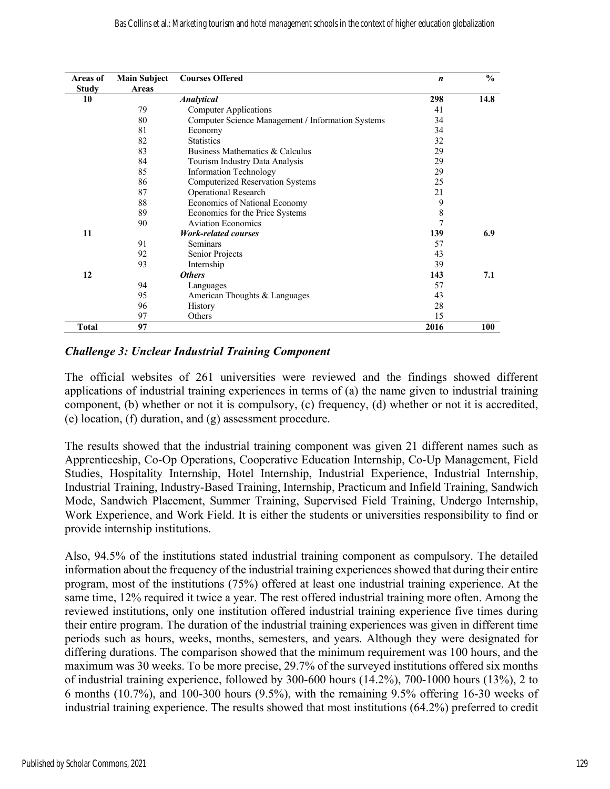| Areas of     | <b>Main Subject</b> | <b>Courses Offered</b>                            | $\boldsymbol{n}$ | $\frac{0}{0}$ |
|--------------|---------------------|---------------------------------------------------|------------------|---------------|
| <b>Study</b> | <b>Areas</b>        |                                                   |                  |               |
| 10           |                     | <b>Analytical</b>                                 | 298              | 14.8          |
|              | 79                  | <b>Computer Applications</b>                      | 41               |               |
|              | 80                  | Computer Science Management / Information Systems | 34               |               |
|              | 81                  | Economy                                           | 34               |               |
|              | 82                  | <b>Statistics</b>                                 | 32               |               |
|              | 83                  | Business Mathematics & Calculus                   | 29               |               |
|              | 84                  | Tourism Industry Data Analysis                    | 29               |               |
|              | 85                  | <b>Information Technology</b>                     | 29               |               |
|              | 86                  | <b>Computerized Reservation Systems</b>           | 25               |               |
|              | 87                  | <b>Operational Research</b>                       | 2.1              |               |
|              | 88                  | Economics of National Economy                     | 9                |               |
|              | 89                  | Economics for the Price Systems                   | 8                |               |
|              | 90                  | <b>Aviation Economics</b>                         | $\overline{7}$   |               |
| 11           |                     | <b>Work-related courses</b>                       | 139              | 6.9           |
|              | 91                  | Seminars                                          | 57               |               |
|              | 92                  | Senior Projects                                   | 43               |               |
|              | 93                  | Internship                                        | 39               |               |
| 12           |                     | <b>Others</b>                                     | 143              | 7.1           |
|              | 94                  | Languages                                         | 57               |               |
|              | 95                  | American Thoughts & Languages                     | 43               |               |
|              | 96                  | History                                           | 28               |               |
|              | 97                  | Others                                            | 15               |               |
| <b>Total</b> | 97                  |                                                   | 2016             | 100           |

#### *Challenge 3: Unclear Industrial Training Component*

The official websites of 261 universities were reviewed and the findings showed different applications of industrial training experiences in terms of (a) the name given to industrial training component, (b) whether or not it is compulsory, (c) frequency, (d) whether or not it is accredited, (e) location, (f) duration, and (g) assessment procedure.

The results showed that the industrial training component was given 21 different names such as Apprenticeship, Co-Op Operations, Cooperative Education Internship, Co-Up Management, Field Studies, Hospitality Internship, Hotel Internship, Industrial Experience, Industrial Internship, Industrial Training, Industry-Based Training, Internship, Practicum and Infield Training, Sandwich Mode, Sandwich Placement, Summer Training, Supervised Field Training, Undergo Internship, Work Experience, and Work Field. It is either the students or universities responsibility to find or provide internship institutions.

Also, 94.5% of the institutions stated industrial training component as compulsory. The detailed information about the frequency of the industrial training experiences showed that during their entire program, most of the institutions (75%) offered at least one industrial training experience. At the same time, 12% required it twice a year. The rest offered industrial training more often. Among the reviewed institutions, only one institution offered industrial training experience five times during their entire program. The duration of the industrial training experiences was given in different time periods such as hours, weeks, months, semesters, and years. Although they were designated for differing durations. The comparison showed that the minimum requirement was 100 hours, and the maximum was 30 weeks. To be more precise, 29.7% of the surveyed institutions offered six months of industrial training experience, followed by 300-600 hours (14.2%), 700-1000 hours (13%), 2 to 6 months (10.7%), and 100-300 hours (9.5%), with the remaining 9.5% offering 16-30 weeks of industrial training experience. The results showed that most institutions (64.2%) preferred to credit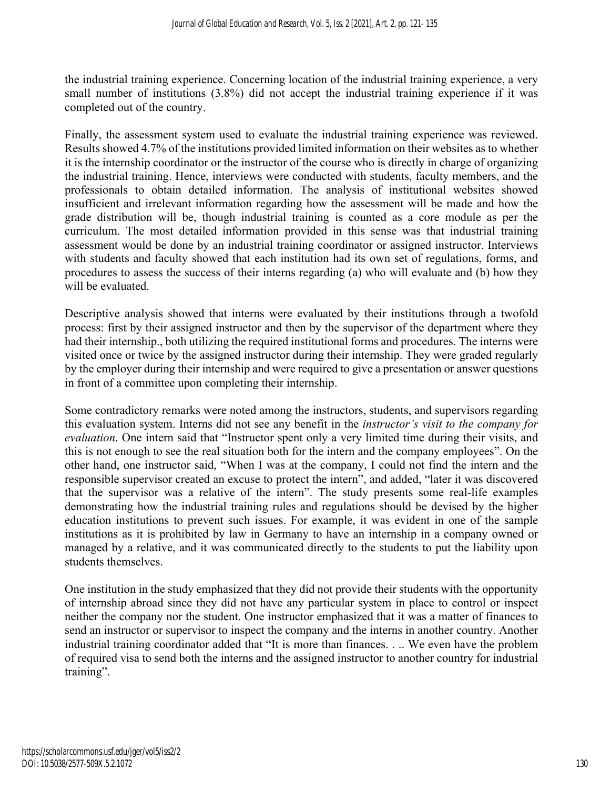the industrial training experience. Concerning location of the industrial training experience, a very small number of institutions (3.8%) did not accept the industrial training experience if it was completed out of the country.

Finally, the assessment system used to evaluate the industrial training experience was reviewed. Results showed 4.7% of the institutions provided limited information on their websites as to whether it is the internship coordinator or the instructor of the course who is directly in charge of organizing the industrial training. Hence, interviews were conducted with students, faculty members, and the professionals to obtain detailed information. The analysis of institutional websites showed insufficient and irrelevant information regarding how the assessment will be made and how the grade distribution will be, though industrial training is counted as a core module as per the curriculum. The most detailed information provided in this sense was that industrial training assessment would be done by an industrial training coordinator or assigned instructor. Interviews with students and faculty showed that each institution had its own set of regulations, forms, and procedures to assess the success of their interns regarding (a) who will evaluate and (b) how they will be evaluated.

Descriptive analysis showed that interns were evaluated by their institutions through a twofold process: first by their assigned instructor and then by the supervisor of the department where they had their internship., both utilizing the required institutional forms and procedures. The interns were visited once or twice by the assigned instructor during their internship. They were graded regularly by the employer during their internship and were required to give a presentation or answer questions in front of a committee upon completing their internship.

Some contradictory remarks were noted among the instructors, students, and supervisors regarding this evaluation system. Interns did not see any benefit in the *instructor's visit to the company for evaluation*. One intern said that "Instructor spent only a very limited time during their visits, and this is not enough to see the real situation both for the intern and the company employees". On the other hand, one instructor said, "When I was at the company, I could not find the intern and the responsible supervisor created an excuse to protect the intern", and added, "later it was discovered that the supervisor was a relative of the intern". The study presents some real-life examples demonstrating how the industrial training rules and regulations should be devised by the higher education institutions to prevent such issues. For example, it was evident in one of the sample institutions as it is prohibited by law in Germany to have an internship in a company owned or managed by a relative, and it was communicated directly to the students to put the liability upon students themselves.

One institution in the study emphasized that they did not provide their students with the opportunity of internship abroad since they did not have any particular system in place to control or inspect neither the company nor the student. One instructor emphasized that it was a matter of finances to send an instructor or supervisor to inspect the company and the interns in another country. Another industrial training coordinator added that "It is more than finances. . .. We even have the problem of required visa to send both the interns and the assigned instructor to another country for industrial training".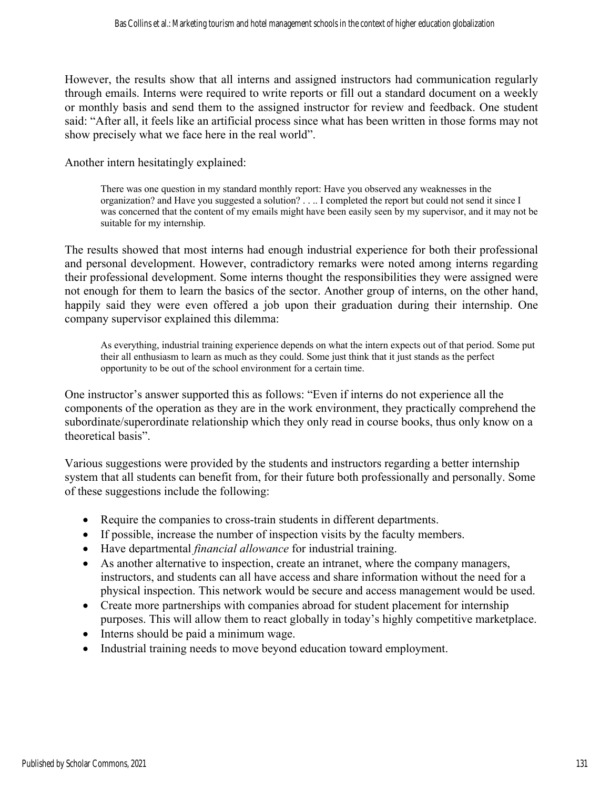However, the results show that all interns and assigned instructors had communication regularly through emails. Interns were required to write reports or fill out a standard document on a weekly or monthly basis and send them to the assigned instructor for review and feedback. One student said: "After all, it feels like an artificial process since what has been written in those forms may not show precisely what we face here in the real world".

Another intern hesitatingly explained:

There was one question in my standard monthly report: Have you observed any weaknesses in the organization? and Have you suggested a solution? . . .. I completed the report but could not send it since I was concerned that the content of my emails might have been easily seen by my supervisor, and it may not be suitable for my internship.

The results showed that most interns had enough industrial experience for both their professional and personal development. However, contradictory remarks were noted among interns regarding their professional development. Some interns thought the responsibilities they were assigned were not enough for them to learn the basics of the sector. Another group of interns, on the other hand, happily said they were even offered a job upon their graduation during their internship. One company supervisor explained this dilemma:

As everything, industrial training experience depends on what the intern expects out of that period. Some put their all enthusiasm to learn as much as they could. Some just think that it just stands as the perfect opportunity to be out of the school environment for a certain time.

One instructor's answer supported this as follows: "Even if interns do not experience all the components of the operation as they are in the work environment, they practically comprehend the subordinate/superordinate relationship which they only read in course books, thus only know on a theoretical basis".

Various suggestions were provided by the students and instructors regarding a better internship system that all students can benefit from, for their future both professionally and personally. Some of these suggestions include the following:

- Require the companies to cross-train students in different departments.
- If possible, increase the number of inspection visits by the faculty members.
- Have departmental *financial allowance* for industrial training.
- As another alternative to inspection, create an intranet, where the company managers, instructors, and students can all have access and share information without the need for a physical inspection. This network would be secure and access management would be used.
- Create more partnerships with companies abroad for student placement for internship purposes. This will allow them to react globally in today's highly competitive marketplace.
- Interns should be paid a minimum wage.
- Industrial training needs to move beyond education toward employment.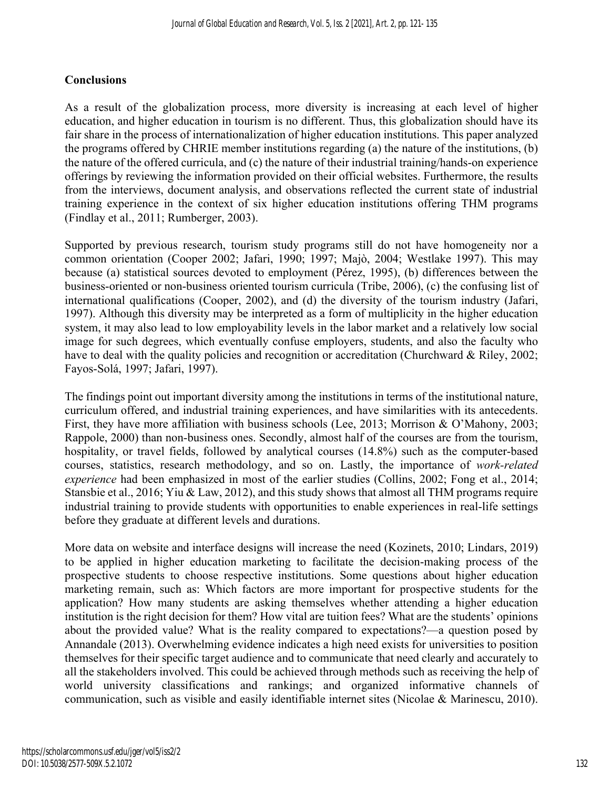## **Conclusions**

As a result of the globalization process, more diversity is increasing at each level of higher education, and higher education in tourism is no different. Thus, this globalization should have its fair share in the process of internationalization of higher education institutions. This paper analyzed the programs offered by CHRIE member institutions regarding (a) the nature of the institutions, (b) the nature of the offered curricula, and (c) the nature of their industrial training/hands-on experience offerings by reviewing the information provided on their official websites. Furthermore, the results from the interviews, document analysis, and observations reflected the current state of industrial training experience in the context of six higher education institutions offering THM programs (Findlay et al., 2011; Rumberger, 2003).

Supported by previous research, tourism study programs still do not have homogeneity nor a common orientation (Cooper 2002; Jafari, 1990; 1997; Majò, 2004; Westlake 1997). This may because (a) statistical sources devoted to employment (Pérez, 1995), (b) differences between the business-oriented or non-business oriented tourism curricula (Tribe, 2006), (c) the confusing list of international qualifications (Cooper, 2002), and (d) the diversity of the tourism industry (Jafari, 1997). Although this diversity may be interpreted as a form of multiplicity in the higher education system, it may also lead to low employability levels in the labor market and a relatively low social image for such degrees, which eventually confuse employers, students, and also the faculty who have to deal with the quality policies and recognition or accreditation (Churchward & Riley, 2002; Fayos-Solá, 1997; Jafari, 1997).

The findings point out important diversity among the institutions in terms of the institutional nature, curriculum offered, and industrial training experiences, and have similarities with its antecedents. First, they have more affiliation with business schools (Lee, 2013; Morrison & O'Mahony, 2003; Rappole, 2000) than non-business ones. Secondly, almost half of the courses are from the tourism, hospitality, or travel fields, followed by analytical courses (14.8%) such as the computer-based courses, statistics, research methodology, and so on. Lastly, the importance of *work-related experience* had been emphasized in most of the earlier studies (Collins, 2002; Fong et al., 2014; Stansbie et al., 2016; Yiu & Law, 2012), and this study shows that almost all THM programs require industrial training to provide students with opportunities to enable experiences in real-life settings before they graduate at different levels and durations.

More data on website and interface designs will increase the need (Kozinets, 2010; Lindars, 2019) to be applied in higher education marketing to facilitate the decision-making process of the prospective students to choose respective institutions. Some questions about higher education marketing remain, such as: Which factors are more important for prospective students for the application? How many students are asking themselves whether attending a higher education institution is the right decision for them? How vital are tuition fees? What are the students' opinions about the provided value? What is the reality compared to expectations?—a question posed by Annandale (2013). Overwhelming evidence indicates a high need exists for universities to position themselves for their specific target audience and to communicate that need clearly and accurately to all the stakeholders involved. This could be achieved through methods such as receiving the help of world university classifications and rankings; and organized informative channels of communication, such as visible and easily identifiable internet sites (Nicolae & Marinescu, 2010).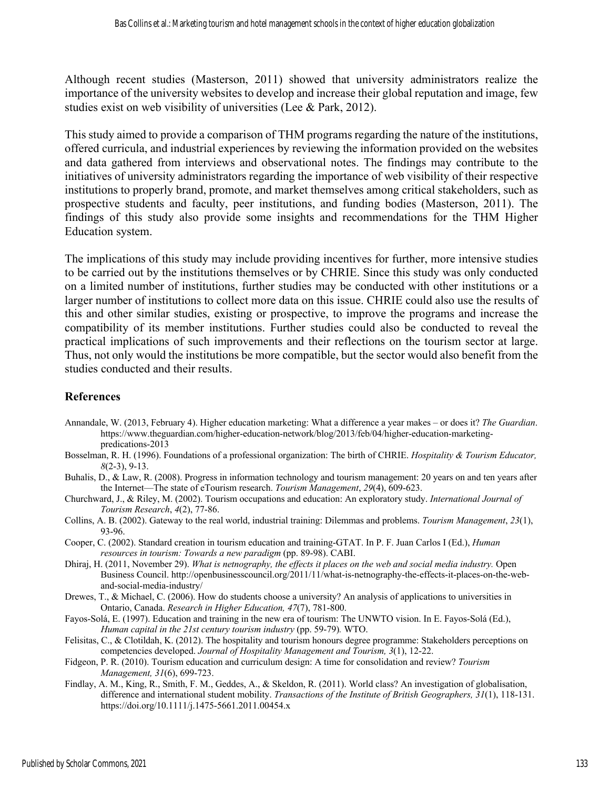Although recent studies (Masterson, 2011) showed that university administrators realize the importance of the university websites to develop and increase their global reputation and image, few studies exist on web visibility of universities (Lee & Park, 2012).

This study aimed to provide a comparison of THM programs regarding the nature of the institutions, offered curricula, and industrial experiences by reviewing the information provided on the websites and data gathered from interviews and observational notes. The findings may contribute to the initiatives of university administrators regarding the importance of web visibility of their respective institutions to properly brand, promote, and market themselves among critical stakeholders, such as prospective students and faculty, peer institutions, and funding bodies (Masterson, 2011). The findings of this study also provide some insights and recommendations for the THM Higher Education system.

The implications of this study may include providing incentives for further, more intensive studies to be carried out by the institutions themselves or by CHRIE. Since this study was only conducted on a limited number of institutions, further studies may be conducted with other institutions or a larger number of institutions to collect more data on this issue. CHRIE could also use the results of this and other similar studies, existing or prospective, to improve the programs and increase the compatibility of its member institutions. Further studies could also be conducted to reveal the practical implications of such improvements and their reflections on the tourism sector at large. Thus, not only would the institutions be more compatible, but the sector would also benefit from the studies conducted and their results.

### **References**

- Annandale, W. (2013, February 4). Higher education marketing: What a difference a year makes or does it? *The Guardian*. https://www.theguardian.com/higher-education-network/blog/2013/feb/04/higher-education-marketingpredications-2013
- Bosselman, R. H. (1996). Foundations of a professional organization: The birth of CHRIE. *Hospitality & Tourism Educator, 8*(2-3), 9-13.
- Buhalis, D., & Law, R. (2008). Progress in information technology and tourism management: 20 years on and ten years after the Internet—The state of eTourism research. *Tourism Management*, *29*(4), 609-623.
- Churchward, J., & Riley, M. (2002). Tourism occupations and education: An exploratory study. *International Journal of Tourism Research*, *4*(2), 77-86.
- Collins, A. B. (2002). Gateway to the real world, industrial training: Dilemmas and problems. *Tourism Management*, *23*(1), 93-96.
- Cooper, C. (2002). Standard creation in tourism education and training-GTAT. In P. F. Juan Carlos I (Ed.), *Human resources in tourism: Towards a new paradigm* (pp. 89-98). CABI.
- Dhiraj, H. (2011, November 29). *What is netnography, the effects it places on the web and social media industry.* Open Business Council. http://openbusinesscouncil.org/2011/11/what-is-netnography-the-effects-it-places-on-the-weband-social-media-industry/
- Drewes, T., & Michael, C. (2006). How do students choose a university? An analysis of applications to universities in Ontario, Canada. *Research in Higher Education, 47*(7), 781-800.
- Fayos-Solá, E. (1997). Education and training in the new era of tourism: The UNWTO vision. In E. Fayos-Solá (Ed.), *Human capital in the 21st century tourism industry* (pp. 59-79)*.* WTO.
- Felisitas, C., & Clotildah, K. (2012). The hospitality and tourism honours degree programme: Stakeholders perceptions on competencies developed. *Journal of Hospitality Management and Tourism, 3*(1), 12-22.
- Fidgeon, P. R. (2010). Tourism education and curriculum design: A time for consolidation and review? *Tourism Management, 31*(6), 699-723.
- Findlay, A. M., King, R., Smith, F. M., Geddes, A., & Skeldon, R. (2011). World class? An investigation of globalisation, difference and international student mobility. *Transactions of the Institute of British Geographers, 31*(1), 118-131. https://doi.org/10.1111/j.1475-5661.2011.00454.x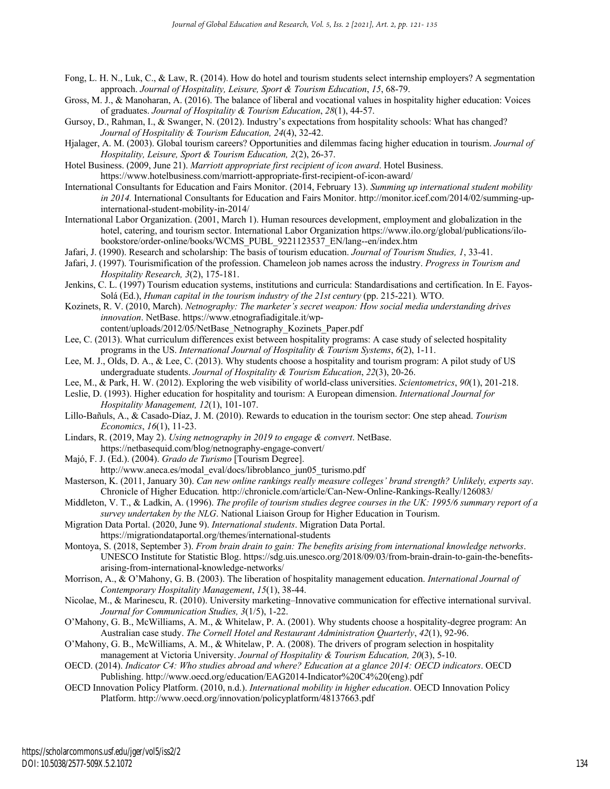- Fong, L. H. N., Luk, C., & Law, R. (2014). How do hotel and tourism students select internship employers? A segmentation approach. *Journal of Hospitality, Leisure, Sport & Tourism Education*, *15*, 68-79.
- Gross, M. J., & Manoharan, A. (2016). The balance of liberal and vocational values in hospitality higher education: Voices of graduates. *Journal of Hospitality & Tourism Education*, *28*(1), 44-57.
- Gursoy, D., Rahman, I., & Swanger, N. (2012). Industry's expectations from hospitality schools: What has changed? *Journal of Hospitality & Tourism Education, 24*(4), 32-42.
- Hjalager, A. M. (2003). Global tourism careers? Opportunities and dilemmas facing higher education in tourism. *Journal of Hospitality, Leisure, Sport & Tourism Education, 2*(2), 26-37.
- Hotel Business. (2009, June 21). *Marriott appropriate first recipient of icon award*. Hotel Business. https://www.hotelbusiness.com/marriott-appropriate-first-recipient-of-icon-award/
- International Consultants for Education and Fairs Monitor. (2014, February 13). *Summing up international student mobility in 2014.* International Consultants for Education and Fairs Monitor. http://monitor.icef.com/2014/02/summing-upinternational-student-mobility-in-2014/
- International Labor Organization. (2001, March 1). Human resources development, employment and globalization in the hotel, catering, and tourism sector. International Labor Organization https://www.ilo.org/global/publications/ilobookstore/order-online/books/WCMS\_PUBL\_9221123537\_EN/lang--en/index.htm
- Jafari, J. (1990). Research and scholarship: The basis of tourism education. *Journal of Tourism Studies, 1*, 33-41.
- Jafari, J. (1997). Tourismification of the profession. Chameleon job names across the industry. *Progress in Tourism and Hospitality Research, 3*(2), 175-181.
- Jenkins, C. L. (1997) Tourism education systems, institutions and curricula: Standardisations and certification. In E. Fayos-Solá (Ed.), *Human capital in the tourism industry of the 21st century* (pp. 215-221)*.* WTO.
- Kozinets, R. V. (2010, March). *Netnography: The marketer's secret weapon: How social media understanding drives innovation*. NetBase. https://www.etnografiadigitale.it/wp
	- content/uploads/2012/05/NetBase\_Netnography\_Kozinets\_Paper.pdf
- Lee, C. (2013). What curriculum differences exist between hospitality programs: A case study of selected hospitality programs in the US. *International Journal of Hospitality & Tourism Systems*, *6*(2), 1-11.
- Lee, M. J., Olds, D. A., & Lee, C. (2013). Why students choose a hospitality and tourism program: A pilot study of US undergraduate students. *Journal of Hospitality & Tourism Education*, *22*(3), 20-26.
- Lee, M., & Park, H. W. (2012). Exploring the web visibility of world-class universities. *Scientometrics*, *90*(1), 201-218.
- Leslie, D. (1993). Higher education for hospitality and tourism: A European dimension. *International Journal for Hospitality Management, 12*(1), 101-107.
- Lillo-Bañuls, A., & Casado-Díaz, J. M. (2010). Rewards to education in the tourism sector: One step ahead. *Tourism Economics*, *16*(1), 11-23.
- Lindars, R. (2019, May 2). *Using netnography in 2019 to engage & convert*. NetBase. https://netbasequid.com/blog/netnography-engage-convert/
- Majó, F. J. (Ed.). (2004). *Grado de Turismo* [Tourism Degree]. http://www.aneca.es/modal\_eval/docs/libroblanco\_jun05\_turismo.pdf
- Masterson, K. (2011, January 30). *Can new online rankings really measure colleges' brand strength? Unlikely, experts say*. Chronicle of Higher Education*.* http://chronicle.com/article/Can-New-Online-Rankings-Really/126083/
- Middleton, V. T., & Ladkin, A. (1996). *The profile of tourism studies degree courses in the UK: 1995/6 summary report of a survey undertaken by the NLG*. National Liaison Group for Higher Education in Tourism.
- Migration Data Portal. (2020, June 9). *International students*. Migration Data Portal.
	- https://migrationdataportal.org/themes/international-students
- Montoya, S. (2018, September 3). *From brain drain to gain: The benefits arising from international knowledge networks*. UNESCO Institute for Statistic Blog. https://sdg.uis.unesco.org/2018/09/03/from-brain-drain-to-gain-the-benefitsarising-from-international-knowledge-networks/
- Morrison, A., & O'Mahony, G. B. (2003). The liberation of hospitality management education. *International Journal of Contemporary Hospitality Management*, *15*(1), 38-44.
- Nicolae, M., & Marinescu, R. (2010). University marketing–Innovative communication for effective international survival. *Journal for Communication Studies, 3*(1/5), 1-22.
- O'Mahony, G. B., McWilliams, A. M., & Whitelaw, P. A. (2001). Why students choose a hospitality-degree program: An Australian case study. *The Cornell Hotel and Restaurant Administration Quarterly*, *42*(1), 92-96.
- O'Mahony, G. B., McWilliams, A. M., & Whitelaw, P. A. (2008). The drivers of program selection in hospitality management at Victoria University. *Journal of Hospitality & Tourism Education, 20*(3), 5-10.
- OECD. (2014). *Indicator C4: Who studies abroad and where? Education at a glance 2014: OECD indicators*. OECD Publishing. http://www.oecd.org/education/EAG2014-Indicator%20C4%20(eng).pdf
- OECD Innovation Policy Platform. (2010, n.d.). *International mobility in higher education*. OECD Innovation Policy Platform. http://www.oecd.org/innovation/policyplatform/48137663.pdf